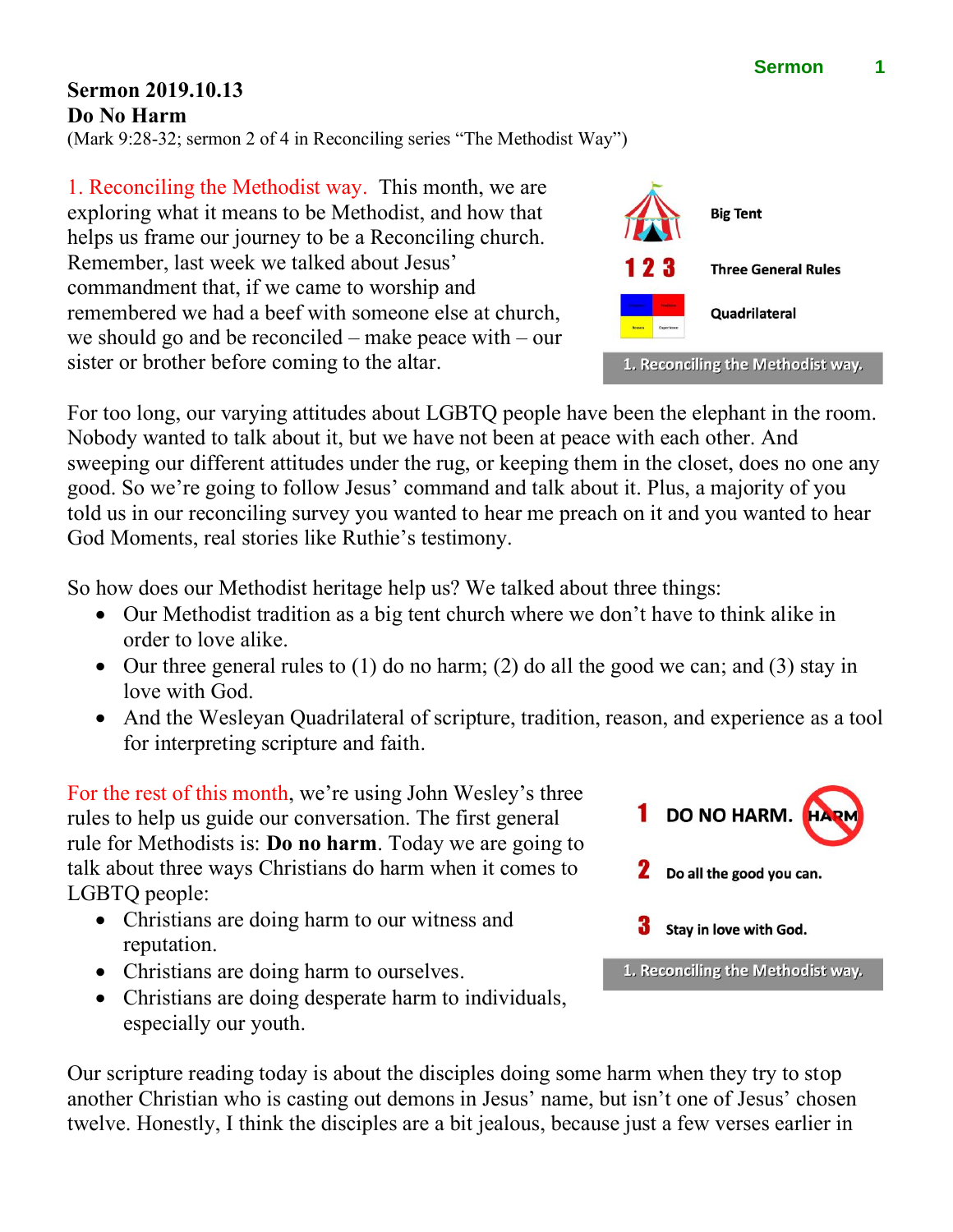## **Sermon 2019.10.13 Do No Harm**

(Mark 9:28-32; sermon 2 of 4 in Reconciling series "The Methodist Way")

1. Reconciling the Methodist way. This month, we are exploring what it means to be Methodist, and how that helps us frame our journey to be a Reconciling church. Remember, last week we talked about Jesus' commandment that, if we came to worship and remembered we had a beef with someone else at church, we should go and be reconciled – make peace with – our sister or brother before coming to the altar.

For too long, our varying attitudes about LGBTQ people have been the elephant in the room. Nobody wanted to talk about it, but we have not been at peace with each other. And sweeping our different attitudes under the rug, or keeping them in the closet, does no one any good. So we're going to follow Jesus' command and talk about it. Plus, a majority of you told us in our reconciling survey you wanted to hear me preach on it and you wanted to hear God Moments, real stories like Ruthie's testimony.

So how does our Methodist heritage help us? We talked about three things:

- Our Methodist tradition as a big tent church where we don't have to think alike in order to love alike.
- Our three general rules to (1) do no harm; (2) do all the good we can; and (3) stay in love with God.
- And the Wesleyan Quadrilateral of scripture, tradition, reason, and experience as a tool for interpreting scripture and faith.

For the rest of this month, we're using John Wesley's three rules to help us guide our conversation. The first general rule for Methodists is: **Do no harm**. Today we are going to talk about three ways Christians do harm when it comes to LGBTQ people:

- Christians are doing harm to our witness and reputation.
- Christians are doing harm to ourselves.
- Christians are doing desperate harm to individuals, especially our youth.

Our scripture reading today is about the disciples doing some harm when they try to stop another Christian who is casting out demons in Jesus' name, but isn't one of Jesus' chosen twelve. Honestly, I think the disciples are a bit jealous, because just a few verses earlier in





1. Reconciling the Methodist way.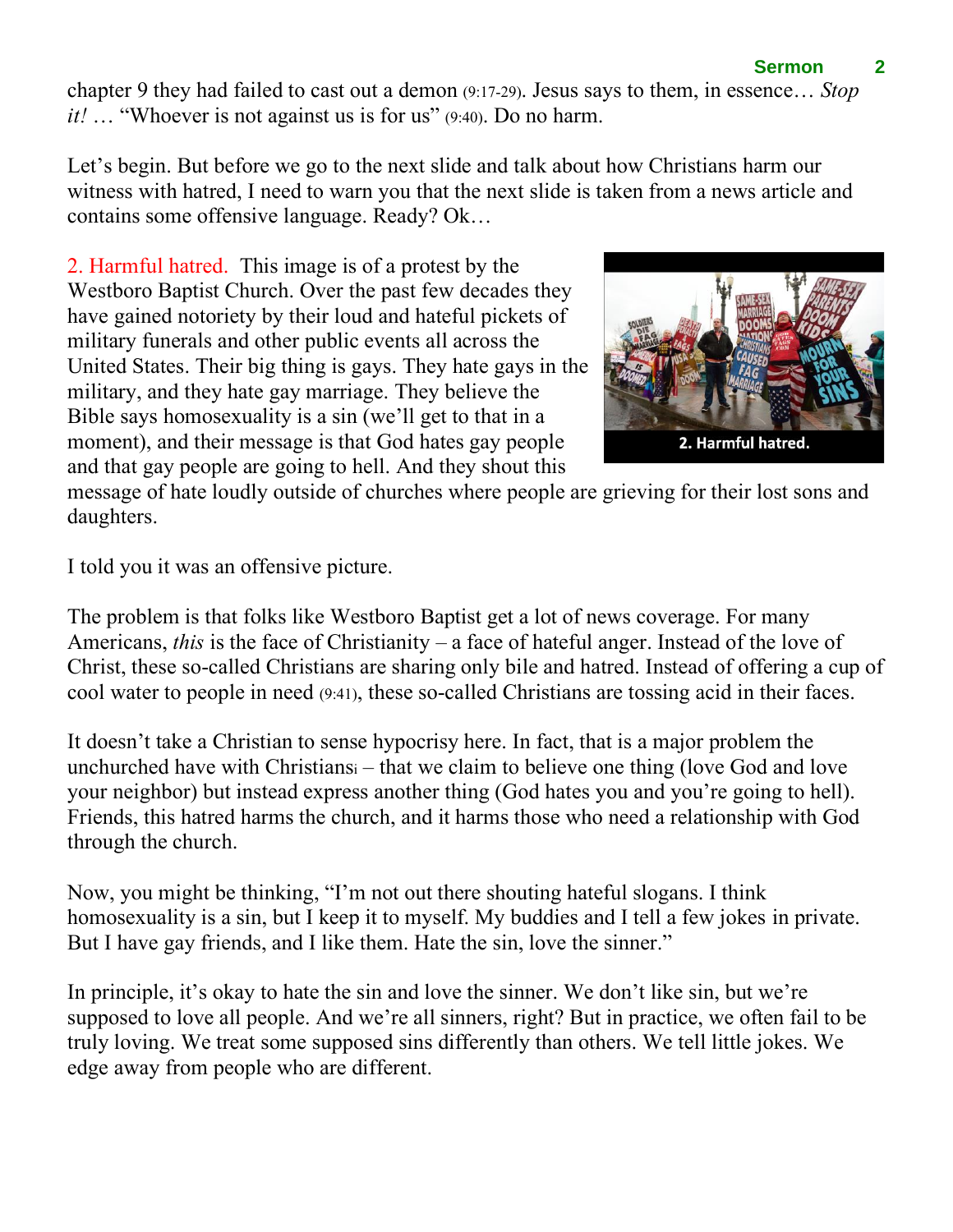## **Sermon 2**

chapter 9 they had failed to cast out a demon (9:17-29). Jesus says to them, in essence… *Stop it!* … "Whoever is not against us is for us" (9:40). Do no harm.

Let's begin. But before we go to the next slide and talk about how Christians harm our witness with hatred, I need to warn you that the next slide is taken from a news article and contains some offensive language. Ready? Ok…

2. Harmful hatred. This image is of a protest by the Westboro Baptist Church. Over the past few decades they have gained notoriety by their loud and hateful pickets of military funerals and other public events all across the United States. Their big thing is gays. They hate gays in the military, and they hate gay marriage. They believe the Bible says homosexuality is a sin (we'll get to that in a moment), and their message is that God hates gay people and that gay people are going to hell. And they shout this



message of hate loudly outside of churches where people are grieving for their lost sons and daughters.

I told you it was an offensive picture.

The problem is that folks like Westboro Baptist get a lot of news coverage. For many Americans, *this* is the face of Christianity – a face of hateful anger. Instead of the love of Christ, these so-called Christians are sharing only bile and hatred. Instead of offering a cup of cool water to people in need (9:41), these so-called Christians are tossing acid in their faces.

It doesn't take a Christian to sense hypocrisy here. In fact, that is a major problem the unchurched have with Christians<sup>i</sup> – that we claim to believe one thing (love God and love your neighbor) but instead express another thing (God hates you and you're going to hell). Friends, this hatred harms the church, and it harms those who need a relationship with God through the church.

Now, you might be thinking, "I'm not out there shouting hateful slogans. I think homosexuality is a sin, but I keep it to myself. My buddies and I tell a few jokes in private. But I have gay friends, and I like them. Hate the sin, love the sinner."

In principle, it's okay to hate the sin and love the sinner. We don't like sin, but we're supposed to love all people. And we're all sinners, right? But in practice, we often fail to be truly loving. We treat some supposed sins differently than others. We tell little jokes. We edge away from people who are different.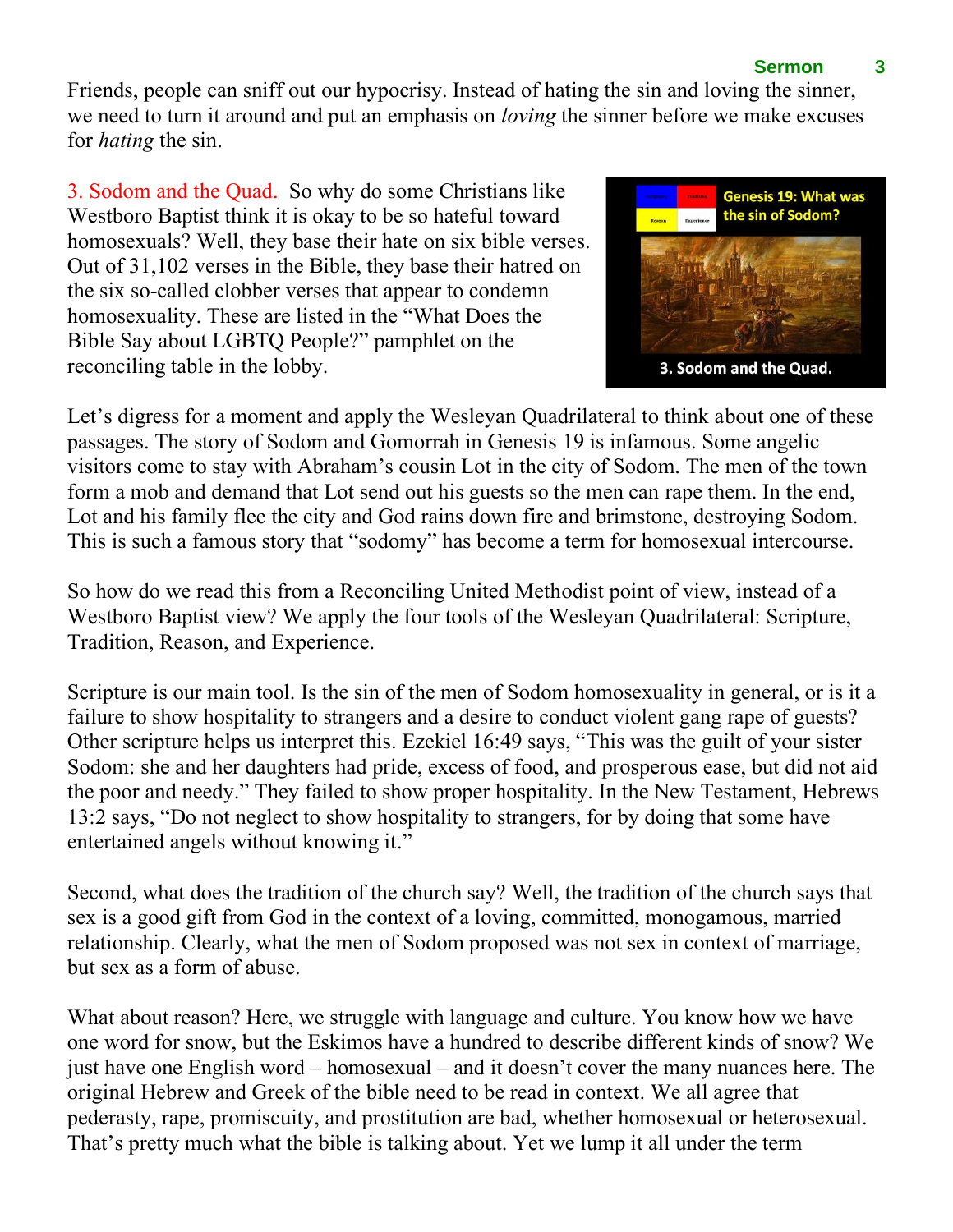## **Sermon 3**

Friends, people can sniff out our hypocrisy. Instead of hating the sin and loving the sinner, we need to turn it around and put an emphasis on *loving* the sinner before we make excuses for *hating* the sin.

3. Sodom and the Quad. So why do some Christians like Westboro Baptist think it is okay to be so hateful toward homosexuals? Well, they base their hate on six bible verses. Out of 31,102 verses in the Bible, they base their hatred on the six so-called clobber verses that appear to condemn homosexuality. These are listed in the "What Does the Bible Say about LGBTQ People?" pamphlet on the reconciling table in the lobby.



Let's digress for a moment and apply the Wesleyan Quadrilateral to think about one of these passages. The story of Sodom and Gomorrah in Genesis 19 is infamous. Some angelic visitors come to stay with Abraham's cousin Lot in the city of Sodom. The men of the town form a mob and demand that Lot send out his guests so the men can rape them. In the end, Lot and his family flee the city and God rains down fire and brimstone, destroying Sodom. This is such a famous story that "sodomy" has become a term for homosexual intercourse.

So how do we read this from a Reconciling United Methodist point of view, instead of a Westboro Baptist view? We apply the four tools of the Wesleyan Quadrilateral: Scripture, Tradition, Reason, and Experience.

Scripture is our main tool. Is the sin of the men of Sodom homosexuality in general, or is it a failure to show hospitality to strangers and a desire to conduct violent gang rape of guests? Other scripture helps us interpret this. Ezekiel 16:49 says, "This was the guilt of your sister Sodom: she and her daughters had pride, excess of food, and prosperous ease, but did not aid the poor and needy." They failed to show proper hospitality. In the New Testament, Hebrews 13:2 says, "Do not neglect to show hospitality to strangers, for by doing that some have entertained angels without knowing it."

Second, what does the tradition of the church say? Well, the tradition of the church says that sex is a good gift from God in the context of a loving, committed, monogamous, married relationship. Clearly, what the men of Sodom proposed was not sex in context of marriage, but sex as a form of abuse.

What about reason? Here, we struggle with language and culture. You know how we have one word for snow, but the Eskimos have a hundred to describe different kinds of snow? We just have one English word – homosexual – and it doesn't cover the many nuances here. The original Hebrew and Greek of the bible need to be read in context. We all agree that pederasty, rape, promiscuity, and prostitution are bad, whether homosexual or heterosexual. That's pretty much what the bible is talking about. Yet we lump it all under the term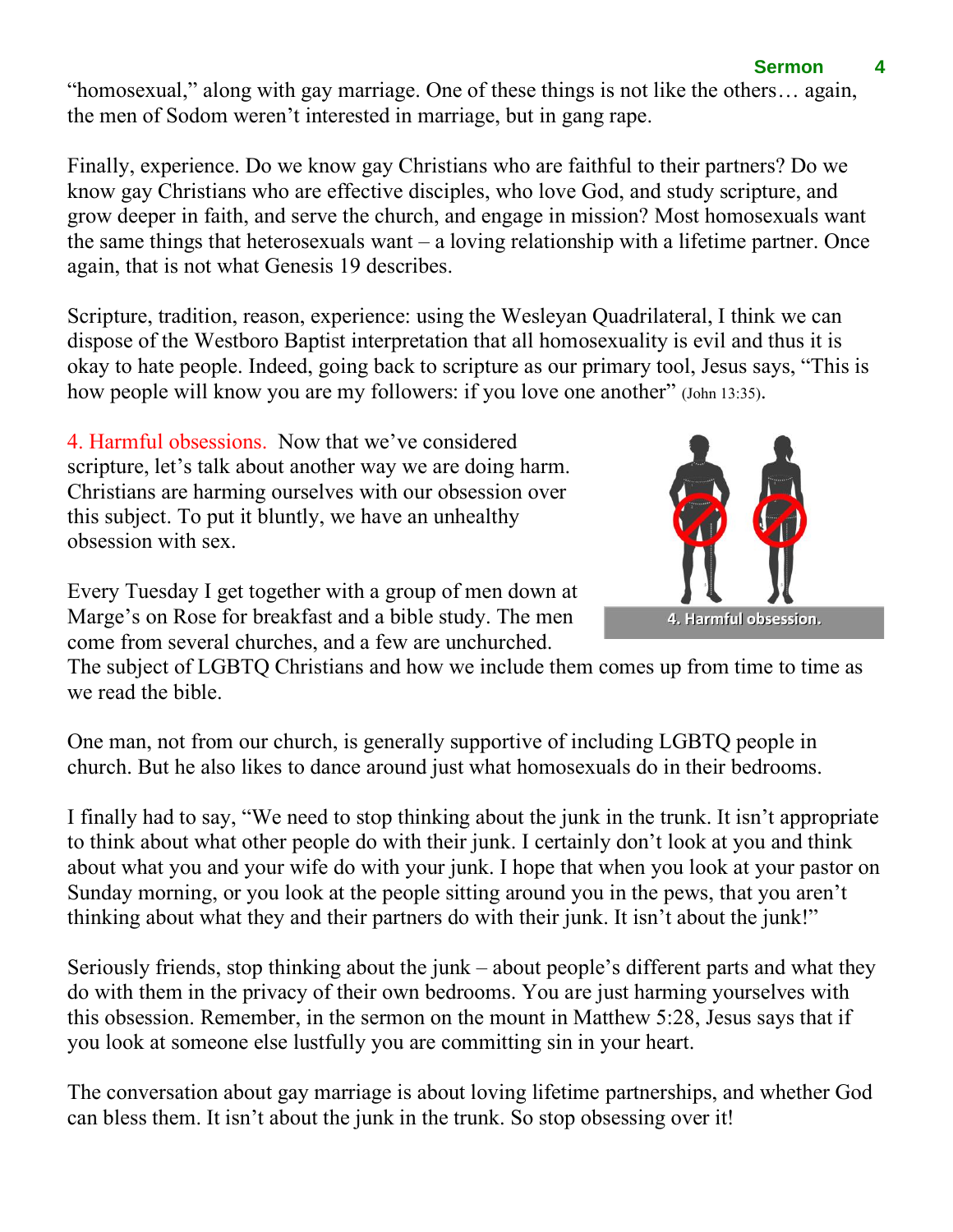"homosexual," along with gay marriage. One of these things is not like the others… again, the men of Sodom weren't interested in marriage, but in gang rape.

Finally, experience. Do we know gay Christians who are faithful to their partners? Do we know gay Christians who are effective disciples, who love God, and study scripture, and grow deeper in faith, and serve the church, and engage in mission? Most homosexuals want the same things that heterosexuals want  $-$  a loving relationship with a lifetime partner. Once again, that is not what Genesis 19 describes.

Scripture, tradition, reason, experience: using the Wesleyan Quadrilateral, I think we can dispose of the Westboro Baptist interpretation that all homosexuality is evil and thus it is okay to hate people. Indeed, going back to scripture as our primary tool, Jesus says, "This is how people will know you are my followers: if you love one another" (John 13:35).

4. Harmful obsessions. Now that we've considered scripture, let's talk about another way we are doing harm. Christians are harming ourselves with our obsession over this subject. To put it bluntly, we have an unhealthy obsession with sex.

Every Tuesday I get together with a group of men down at Marge's on Rose for breakfast and a bible study. The men come from several churches, and a few are unchurched.

The subject of LGBTQ Christians and how we include them comes up from time to time as we read the bible.

One man, not from our church, is generally supportive of including LGBTQ people in church. But he also likes to dance around just what homosexuals do in their bedrooms.

I finally had to say, "We need to stop thinking about the junk in the trunk. It isn't appropriate to think about what other people do with their junk. I certainly don't look at you and think about what you and your wife do with your junk. I hope that when you look at your pastor on Sunday morning, or you look at the people sitting around you in the pews, that you aren't thinking about what they and their partners do with their junk. It isn't about the junk!"

Seriously friends, stop thinking about the junk – about people's different parts and what they do with them in the privacy of their own bedrooms. You are just harming yourselves with this obsession. Remember, in the sermon on the mount in Matthew 5:28, Jesus says that if you look at someone else lustfully you are committing sin in your heart.

The conversation about gay marriage is about loving lifetime partnerships, and whether God can bless them. It isn't about the junk in the trunk. So stop obsessing over it!

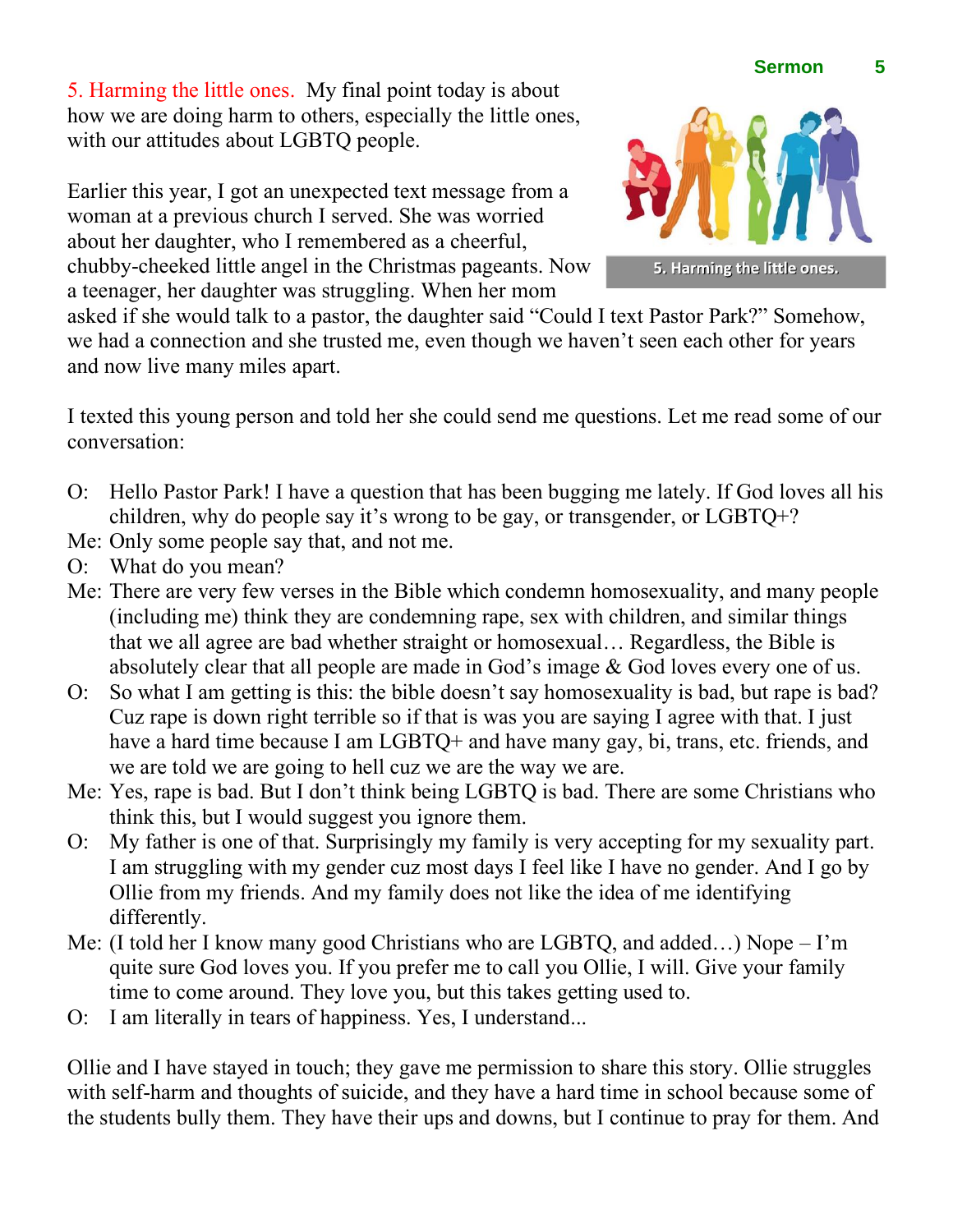5. Harming the little ones. My final point today is about how we are doing harm to others, especially the little ones, with our attitudes about LGBTQ people.

Earlier this year, I got an unexpected text message from a woman at a previous church I served. She was worried about her daughter, who I remembered as a cheerful, chubby-cheeked little angel in the Christmas pageants. Now a teenager, her daughter was struggling. When her mom

asked if she would talk to a pastor, the daughter said "Could I text Pastor Park?" Somehow, we had a connection and she trusted me, even though we haven't seen each other for years and now live many miles apart.

I texted this young person and told her she could send me questions. Let me read some of our conversation:

- O: Hello Pastor Park! I have a question that has been bugging me lately. If God loves all his children, why do people say it's wrong to be gay, or transgender, or LGBTQ+?
- Me: Only some people say that, and not me.
- O: What do you mean?
- Me: There are very few verses in the Bible which condemn homosexuality, and many people (including me) think they are condemning rape, sex with children, and similar things that we all agree are bad whether straight or homosexual… Regardless, the Bible is absolutely clear that all people are made in God's image & God loves every one of us.
- O: So what I am getting is this: the bible doesn't say homosexuality is bad, but rape is bad? Cuz rape is down right terrible so if that is was you are saying I agree with that. I just have a hard time because I am LGBTQ+ and have many gay, bi, trans, etc. friends, and we are told we are going to hell cuz we are the way we are.
- Me: Yes, rape is bad. But I don't think being LGBTQ is bad. There are some Christians who think this, but I would suggest you ignore them.
- O: My father is one of that. Surprisingly my family is very accepting for my sexuality part. I am struggling with my gender cuz most days I feel like I have no gender. And I go by Ollie from my friends. And my family does not like the idea of me identifying differently.
- Me: (I told her I know many good Christians who are LGBTQ, and added…) Nope I'm quite sure God loves you. If you prefer me to call you Ollie, I will. Give your family time to come around. They love you, but this takes getting used to.
- O: I am literally in tears of happiness. Yes, I understand...

Ollie and I have stayed in touch; they gave me permission to share this story. Ollie struggles with self-harm and thoughts of suicide, and they have a hard time in school because some of the students bully them. They have their ups and downs, but I continue to pray for them. And